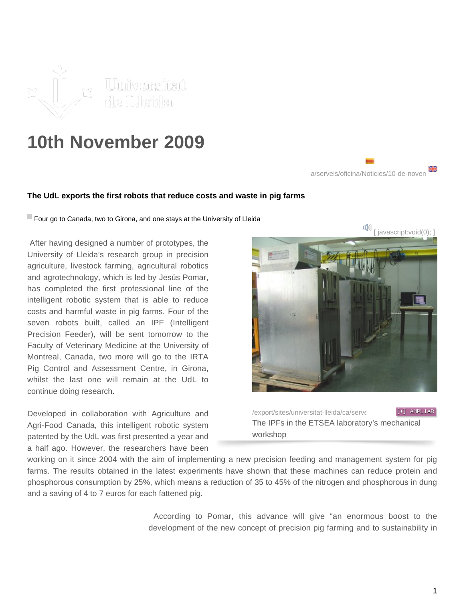

## **10th November 2009**



## **The UdL exports the first robots that reduce costs and waste in pig farms**

Four go to Canada, two to Girona, and one stays at the University of Lleida

 After having designed a number of prototypes, the University of Lleida's research group in precision agriculture, livestock farming, agricultural robotics and agrotechnology, which is led by Jesús Pomar, has completed the first professional line of the intelligent robotic system that is able to reduce costs and harmful waste in pig farms. Four of the seven robots built, called an IPF (Intelligent Precision Feeder), will be sent tomorrow to the Faculty of Veterinary Medicine at the University of Montreal, Canada, two more will go to the IRTA Pig Control and Assessment Centre, in Girona, whilst the last one will remain at the UdL to continue doing research.

Developed in collaboration with Agriculture and Agri-Food Canada, this intelligent robotic system patented by the UdL was first presented a year and a half ago. However, the researchers have been



/export/sites/universitat-lleida/ca/serveisional.ca/ The IPFs in the ETSEA laboratory's mechanical workshop

working on it since 2004 with the aim of implementing a new precision feeding and management system for pig farms. The results obtained in the latest experiments have shown that these machines can reduce protein and phosphorous consumption by 25%, which means a reduction of 35 to 45% of the nitrogen and phosphorous in dung and a saving of 4 to 7 euros for each fattened pig.

> According to Pomar, this advance will give "an enormous boost to the development of the new concept of precision pig farming and to sustainability in